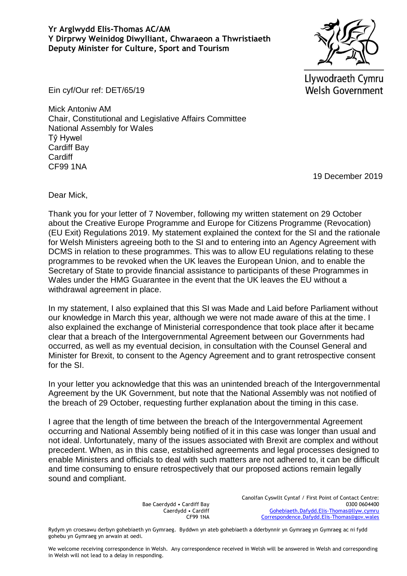## **Yr Arglwydd Elis-Thomas AC/AM Y Dirprwy Weinidog Diwylliant, Chwaraeon a Thwristiaeth Deputy Minister for Culture, Sport and Tourism**

Llywodraeth Cymru **Welsh Government** 

Ein cyf/Our ref: DET/65/19

Mick Antoniw AM Chair, Constitutional and Legislative Affairs Committee National Assembly for Wales Tŷ Hywel Cardiff Bay **Cardiff** CF99 1NA

19 December 2019

Dear Mick,

Thank you for your letter of 7 November, following my written statement on 29 October about the Creative Europe Programme and Europe for Citizens Programme (Revocation) (EU Exit) Regulations 2019. My statement explained the context for the SI and the rationale for Welsh Ministers agreeing both to the SI and to entering into an Agency Agreement with DCMS in relation to these programmes. This was to allow EU regulations relating to these programmes to be revoked when the UK leaves the European Union, and to enable the Secretary of State to provide financial assistance to participants of these Programmes in Wales under the HMG Guarantee in the event that the UK leaves the EU without a withdrawal agreement in place.

In my statement, I also explained that this SI was Made and Laid before Parliament without our knowledge in March this year, although we were not made aware of this at the time. I also explained the exchange of Ministerial correspondence that took place after it became clear that a breach of the Intergovernmental Agreement between our Governments had occurred, as well as my eventual decision, in consultation with the Counsel General and Minister for Brexit, to consent to the Agency Agreement and to grant retrospective consent for the SI.

In your letter you acknowledge that this was an unintended breach of the Intergovernmental Agreement by the UK Government, but note that the National Assembly was not notified of the breach of 29 October, requesting further explanation about the timing in this case.

I agree that the length of time between the breach of the Intergovernmental Agreement occurring and National Assembly being notified of it in this case was longer than usual and not ideal. Unfortunately, many of the issues associated with Brexit are complex and without precedent. When, as in this case, established agreements and legal processes designed to enable Ministers and officials to deal with such matters are not adhered to, it can be difficult and time consuming to ensure retrospectively that our proposed actions remain legally sound and compliant.

> Bae Caerdydd • Cardiff Bay Caerdydd • Cardiff CF99 1NA

Canolfan Cyswllt Cyntaf / First Point of Contact Centre: 0300 0604400 [Gohebiaeth.Dafydd.Elis-Thomas@llyw.cymru](mailto:Gohebiaeth.Dafydd.Elis-Thomas@llyw.cymru) [Correspondence.Dafydd.Elis-Thomas@gov.wales](mailto:Correspondence.Dafydd.Elis-Thomas@gov.wales)

Rydym yn croesawu derbyn gohebiaeth yn Gymraeg. Byddwn yn ateb gohebiaeth a dderbynnir yn Gymraeg yn Gymraeg ac ni fydd gohebu yn Gymraeg yn arwain at oedi.

We welcome receiving correspondence in Welsh. Any correspondence received in Welsh will be answered in Welsh and corresponding in Welsh will not lead to a delay in responding.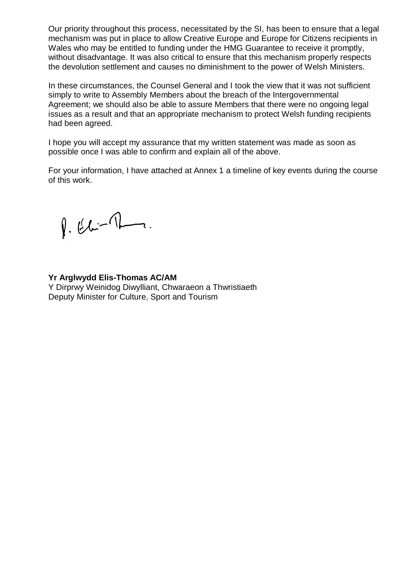Our priority throughout this process, necessitated by the SI, has been to ensure that a legal mechanism was put in place to allow Creative Europe and Europe for Citizens recipients in Wales who may be entitled to funding under the HMG Guarantee to receive it promptly, without disadvantage. It was also critical to ensure that this mechanism properly respects the devolution settlement and causes no diminishment to the power of Welsh Ministers.

In these circumstances, the Counsel General and I took the view that it was not sufficient simply to write to Assembly Members about the breach of the Intergovernmental Agreement; we should also be able to assure Members that there were no ongoing legal issues as a result and that an appropriate mechanism to protect Welsh funding recipients had been agreed.

I hope you will accept my assurance that my written statement was made as soon as possible once I was able to confirm and explain all of the above.

For your information, I have attached at Annex 1 a timeline of key events during the course of this work.

 $\beta.66 - 1$ 

**Yr Arglwydd Elis-Thomas AC/AM** Y Dirprwy Weinidog Diwylliant, Chwaraeon a Thwristiaeth

Deputy Minister for Culture, Sport and Tourism